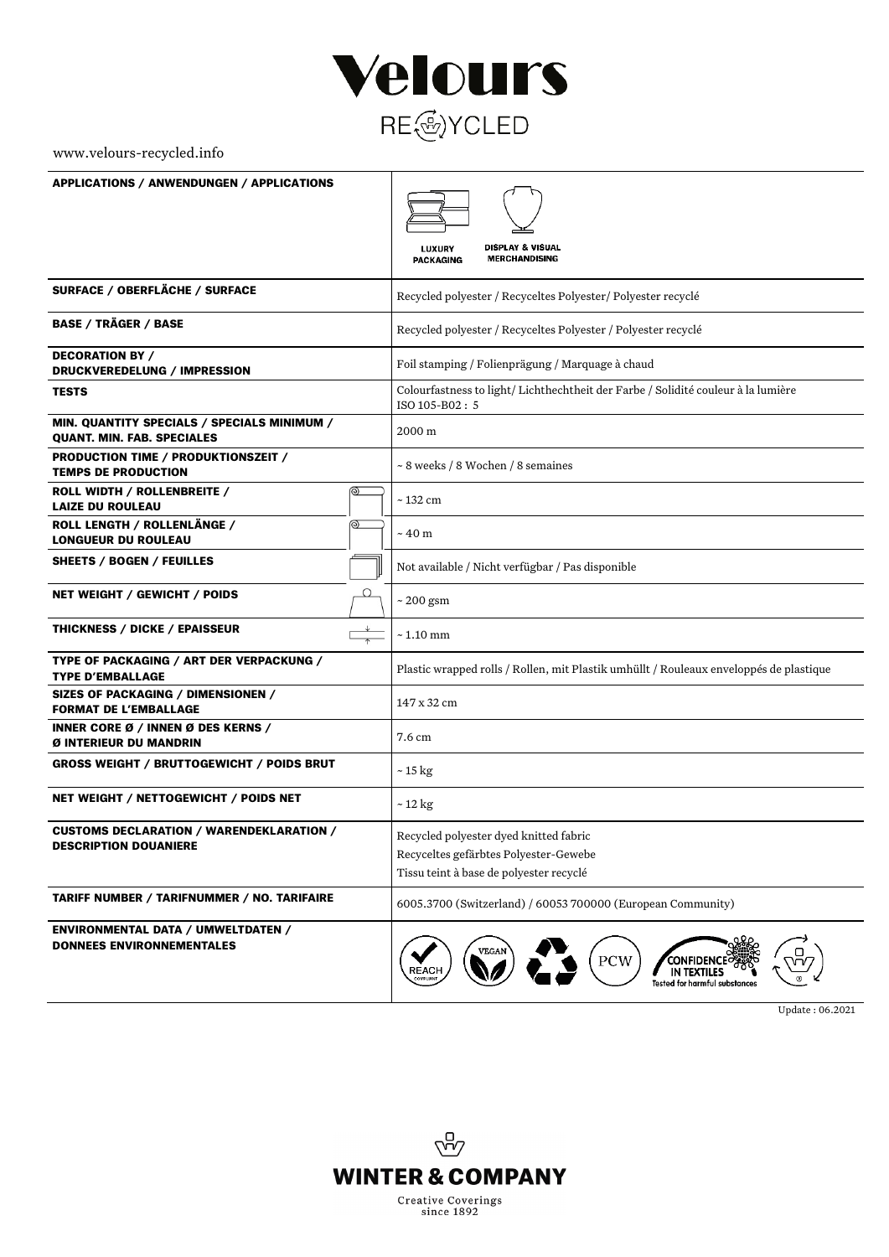

## www.velours-recycled.info

| <b>APPLICATIONS / ANWENDUNGEN / APPLICATIONS</b>                                 |                                                                                                    |
|----------------------------------------------------------------------------------|----------------------------------------------------------------------------------------------------|
|                                                                                  |                                                                                                    |
|                                                                                  | <b>DISPLAY &amp; VISUAL</b><br><b>LUXURY</b><br><b>MERCHANDISING</b><br><b>PACKAGING</b>           |
| SURFACE / OBERFLÄCHE / SURFACE                                                   | Recycled polyester / Recyceltes Polyester / Polyester recyclé                                      |
| <b>BASE / TRÄGER / BASE</b>                                                      | Recycled polyester / Recyceltes Polyester / Polyester recyclé                                      |
| <b>DECORATION BY /</b><br>DRUCKVEREDELUNG / IMPRESSION                           | Foil stamping / Folienprägung / Marquage à chaud                                                   |
| <b>TESTS</b>                                                                     | Colourfastness to light/Lichthechtheit der Farbe / Solidité couleur à la lumière<br>ISO 105-B02: 5 |
| MIN. QUANTITY SPECIALS / SPECIALS MINIMUM /<br><b>QUANT. MIN. FAB. SPECIALES</b> | 2000 m                                                                                             |
| PRODUCTION TIME / PRODUKTIONSZEIT /<br><b>TEMPS DE PRODUCTION</b>                | ~ 8 weeks / 8 Wochen / 8 semaines                                                                  |
| ROLL WIDTH / ROLLENBREITE /<br><u>ම</u><br><b>LAIZE DU ROULEAU</b>               | ~132 cm                                                                                            |
| ROLL LENGTH / ROLLENLÄNGE /<br><u>ම </u><br><b>LONGUEUR DU ROULEAU</b>           | $\sim 40~\text{m}$                                                                                 |
| SHEETS / BOGEN / FEUILLES                                                        | Not available / Nicht verfügbar / Pas disponible                                                   |
| Ο<br>NET WEIGHT / GEWICHT / POIDS                                                | $\sim$ 200 gsm                                                                                     |
| <b>THICKNESS / DICKE / EPAISSEUR</b>                                             | $\sim 1.10$ mm                                                                                     |
| TYPE OF PACKAGING / ART DER VERPACKUNG /<br><b>TYPE D'EMBALLAGE</b>              | Plastic wrapped rolls / Rollen, mit Plastik umhüllt / Rouleaux enveloppés de plastique             |
| SIZES OF PACKAGING / DIMENSIONEN /<br><b>FORMAT DE L'EMBALLAGE</b>               | 147 x 32 cm                                                                                        |
| INNER CORE Ø / INNEN Ø DES KERNS /<br>Ø INTERIEUR DU MANDRIN                     | 7.6 cm                                                                                             |
| <b>GROSS WEIGHT / BRUTTOGEWICHT / POIDS BRUT</b>                                 | ~ 15 kg                                                                                            |
| NET WEIGHT / NETTOGEWICHT / POIDS NET                                            | $\sim$ 12 kg                                                                                       |
| <b>CUSTOMS DECLARATION / WARENDEKLARATION /</b><br><b>DESCRIPTION DOUANIERE</b>  | Recycled polyester dyed knitted fabric                                                             |
|                                                                                  | Recyceltes gefärbtes Polyester-Gewebe<br>Tissu teint à base de polyester recyclé                   |
| <b>TARIFF NUMBER / TARIFNUMMER / NO. TARIFAIRE</b>                               | 6005.3700 (Switzerland) / 60053 700000 (European Community)                                        |
| <b>ENVIRONMENTAL DATA / UMWELTDATEN /</b><br><b>DONNEES ENVIRONNEMENTALES</b>    | VEGAN<br>PCW<br>REACH<br>IN TEXTILES<br><b>Tested for harmful substances</b>                       |

Update : 06.2021

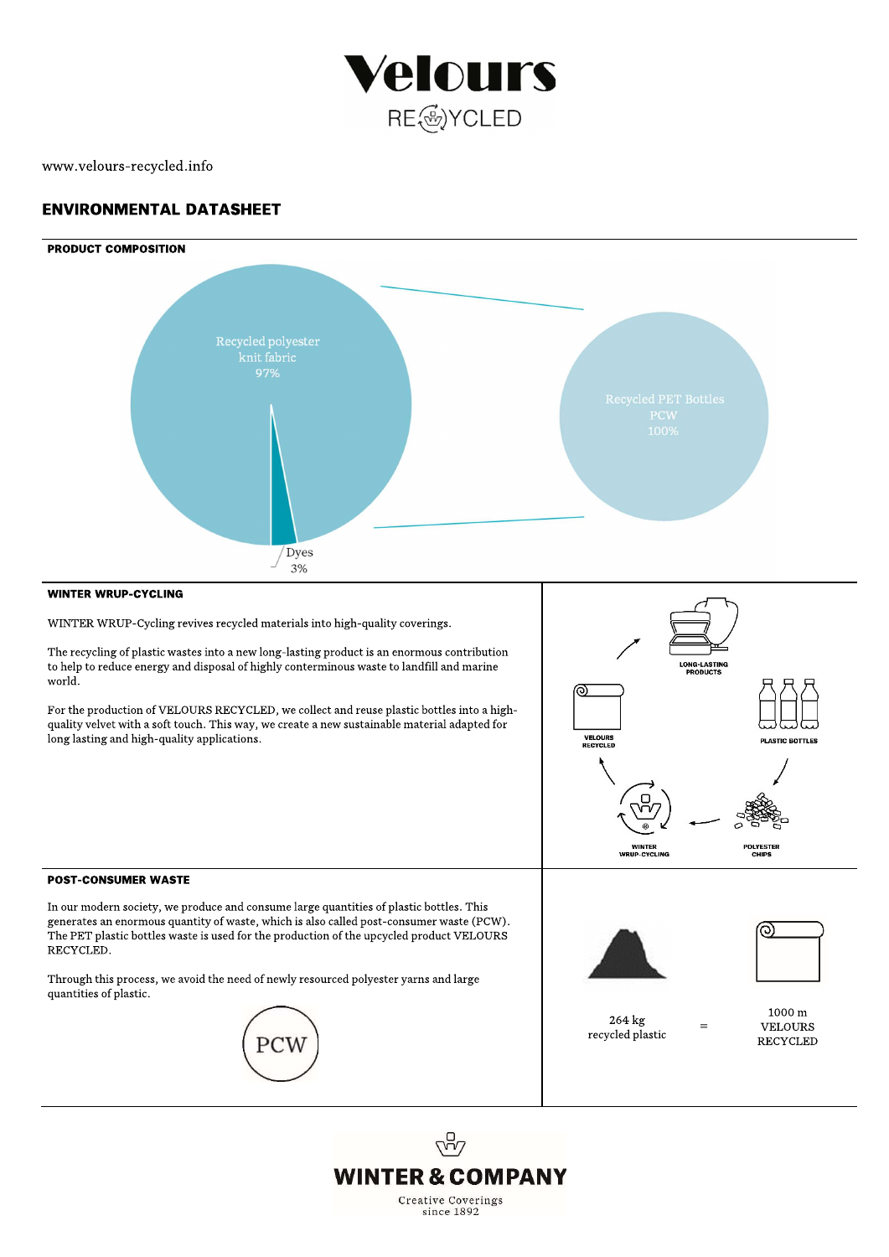

# www.velours-recycled.info

# **ENVIRONMENTAL DATASHEET**



In our modern society, we produce and consume large quantities of plastic bottles. This generates an enormous quantity of waste, which is also called post-consumer waste (PCW). The PET plastic bottles waste is used for the production of the upcycled product VELOURS RECYCLED.

Through this process, we avoid the need of newly resourced polyester yarns and large quantities of plastic.

PCV





264 kg recycled plastic

1000 m **VELOURS RECYCLED**